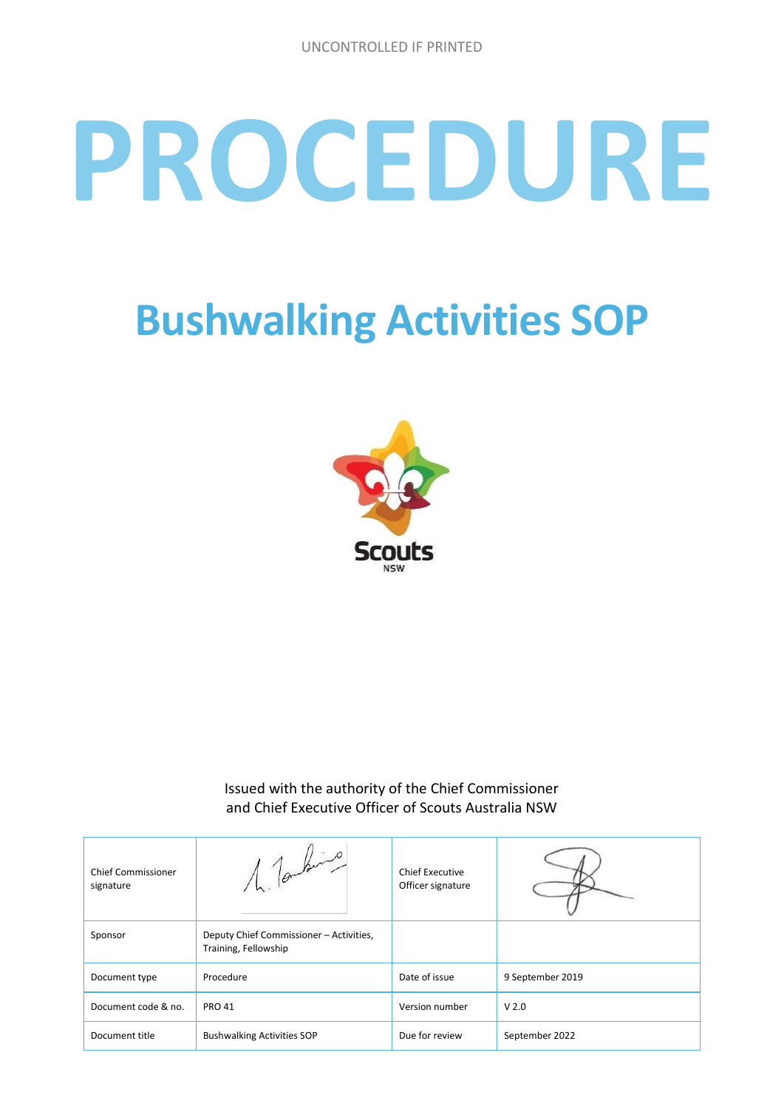# **PROCEDURE**

## **Bushwalking Activities SOP**



Issued with the authority of the Chief Commissioner and Chief Executive Officer of Scouts Australia NSW

| <b>Chief Commissioner</b><br>signature | 1 Tomburs                                                       | <b>Chief Executive</b><br>Officer signature |                  |
|----------------------------------------|-----------------------------------------------------------------|---------------------------------------------|------------------|
| Sponsor                                | Deputy Chief Commissioner - Activities,<br>Training, Fellowship |                                             |                  |
| Document type                          | Procedure                                                       | Date of issue                               | 9 September 2019 |
| Document code & no.                    | <b>PRO 41</b>                                                   | Version number                              | V <sub>2.0</sub> |
| Document title                         | <b>Bushwalking Activities SOP</b>                               | Due for review                              | September 2022   |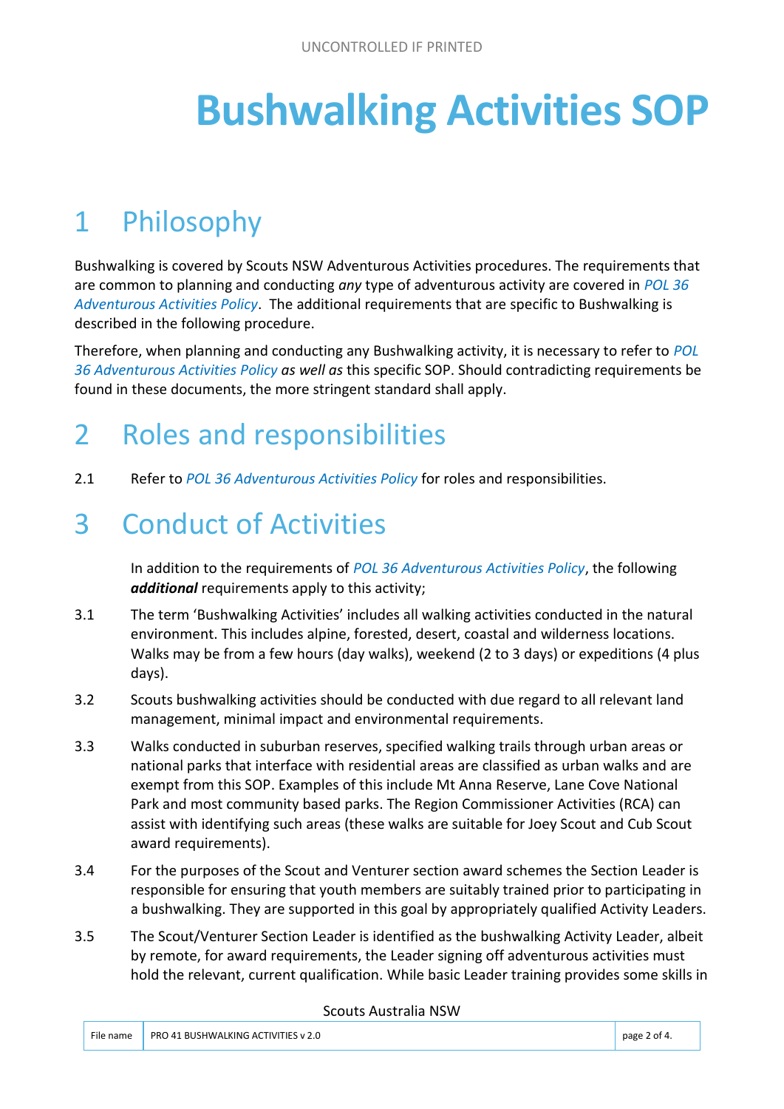# **Bushwalking Activities SOP**

## 1 Philosophy

Bushwalking is covered by Scouts NSW Adventurous Activities procedures. The requirements that are common to planning and conducting *any* type of adventurous activity are covered in *POL 36 Adventurous Activities Policy*. The additional requirements that are specific to Bushwalking is described in the following procedure.

Therefore, when planning and conducting any Bushwalking activity, it is necessary to refer to *POL 36 Adventurous Activities Policy as well as* this specific SOP. Should contradicting requirements be found in these documents, the more stringent standard shall apply.

#### 2 Roles and responsibilities

2.1 Refer to *POL 36 Adventurous Activities Policy* for roles and responsibilities.

#### 3 Conduct of Activities

In addition to the requirements of *POL 36 Adventurous Activities Policy*, the following *additional* requirements apply to this activity;

- 3.1 The term 'Bushwalking Activities' includes all walking activities conducted in the natural environment. This includes alpine, forested, desert, coastal and wilderness locations. Walks may be from a few hours (day walks), weekend (2 to 3 days) or expeditions (4 plus days).
- 3.2 Scouts bushwalking activities should be conducted with due regard to all relevant land management, minimal impact and environmental requirements.
- 3.3 Walks conducted in suburban reserves, specified walking trails through urban areas or national parks that interface with residential areas are classified as urban walks and are exempt from this SOP. Examples of this include Mt Anna Reserve, Lane Cove National Park and most community based parks. The Region Commissioner Activities (RCA) can assist with identifying such areas (these walks are suitable for Joey Scout and Cub Scout award requirements).
- 3.4 For the purposes of the Scout and Venturer section award schemes the Section Leader is responsible for ensuring that youth members are suitably trained prior to participating in a bushwalking. They are supported in this goal by appropriately qualified Activity Leaders.
- 3.5 The Scout/Venturer Section Leader is identified as the bushwalking Activity Leader, albeit by remote, for award requirements, the Leader signing off adventurous activities must hold the relevant, current qualification. While basic Leader training provides some skills in

#### Scouts Australia NSW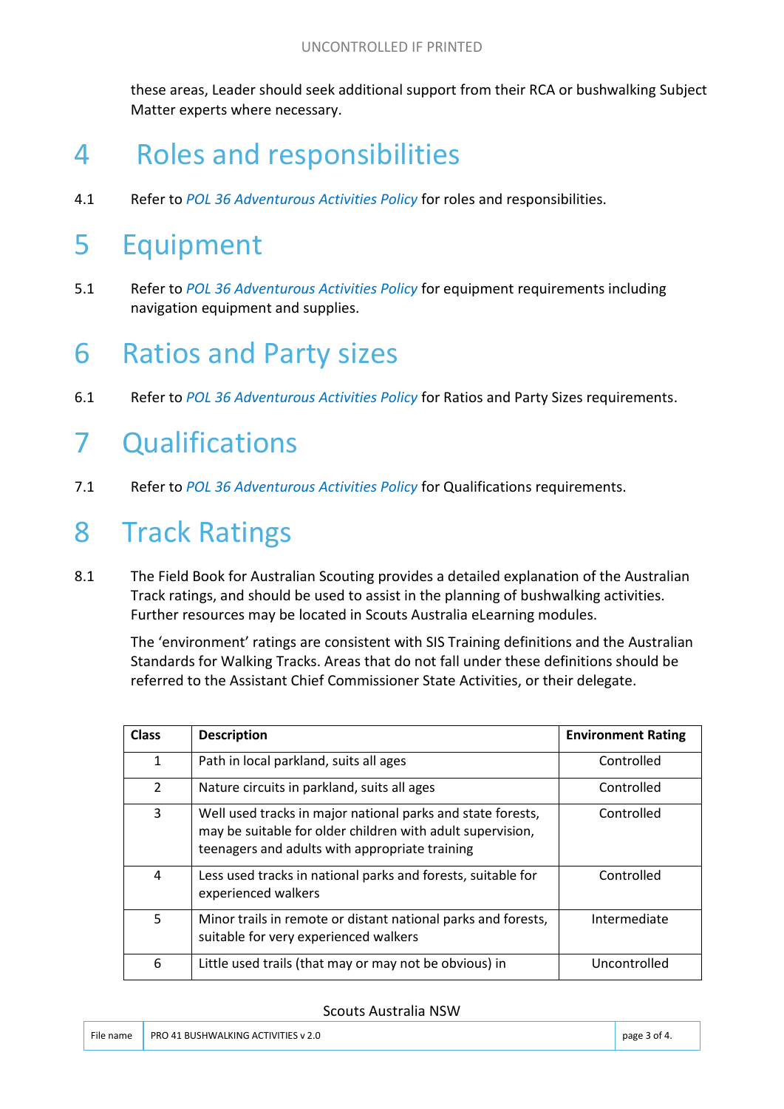these areas, Leader should seek additional support from their RCA or bushwalking Subject Matter experts where necessary.

#### 4 Roles and responsibilities

4.1 Refer to *POL 36 Adventurous Activities Policy* for roles and responsibilities.

#### 5 Equipment

5.1 Refer to *POL 36 Adventurous Activities Policy* for equipment requirements including navigation equipment and supplies.

#### 6 Ratios and Party sizes

6.1 Refer to *POL 36 Adventurous Activities Policy* for Ratios and Party Sizes requirements.

#### 7 Qualifications

7.1 Refer to *POL 36 Adventurous Activities Policy* for Qualifications requirements.

#### 8 Track Ratings

8.1 The Field Book for Australian Scouting provides a detailed explanation of the Australian Track ratings, and should be used to assist in the planning of bushwalking activities. Further resources may be located in Scouts Australia eLearning modules.

The 'environment' ratings are consistent with SIS Training definitions and the Australian Standards for Walking Tracks. Areas that do not fall under these definitions should be referred to the Assistant Chief Commissioner State Activities, or their delegate.

| <b>Class</b>   | <b>Description</b>                                                                                                                                                          | <b>Environment Rating</b> |
|----------------|-----------------------------------------------------------------------------------------------------------------------------------------------------------------------------|---------------------------|
| 1              | Path in local parkland, suits all ages                                                                                                                                      | Controlled                |
| $\overline{2}$ | Nature circuits in parkland, suits all ages                                                                                                                                 | Controlled                |
| 3              | Well used tracks in major national parks and state forests,<br>may be suitable for older children with adult supervision,<br>teenagers and adults with appropriate training | Controlled                |
| 4              | Less used tracks in national parks and forests, suitable for<br>experienced walkers                                                                                         | Controlled                |
| 5              | Minor trails in remote or distant national parks and forests,<br>suitable for very experienced walkers                                                                      | Intermediate              |
| 6              | Little used trails (that may or may not be obvious) in                                                                                                                      | Uncontrolled              |

#### Scouts Australia NSW